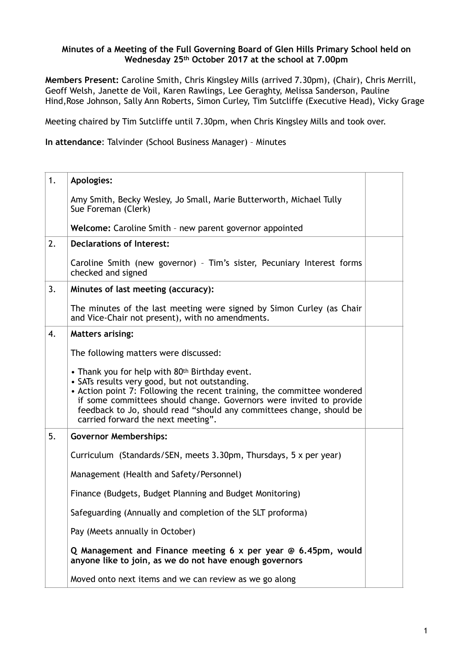## **Minutes of a Meeting of the Full Governing Board of Glen Hills Primary School held on Wednesday 25th October 2017 at the school at 7.00pm**

**Members Present:** Caroline Smith, Chris Kingsley Mills (arrived 7.30pm), (Chair), Chris Merrill, Geoff Welsh, Janette de Voil, Karen Rawlings, Lee Geraghty, Melissa Sanderson, Pauline Hind,Rose Johnson, Sally Ann Roberts, Simon Curley, Tim Sutcliffe (Executive Head), Vicky Grage

Meeting chaired by Tim Sutcliffe until 7.30pm, when Chris Kingsley Mills and took over.

**In attendance**: Talvinder (School Business Manager) – Minutes

| 1. | <b>Apologies:</b>                                                                                                                                                                                                                                                                                                                                                |  |
|----|------------------------------------------------------------------------------------------------------------------------------------------------------------------------------------------------------------------------------------------------------------------------------------------------------------------------------------------------------------------|--|
|    | Amy Smith, Becky Wesley, Jo Small, Marie Butterworth, Michael Tully<br>Sue Foreman (Clerk)                                                                                                                                                                                                                                                                       |  |
|    | Welcome: Caroline Smith - new parent governor appointed                                                                                                                                                                                                                                                                                                          |  |
| 2. | <b>Declarations of Interest:</b>                                                                                                                                                                                                                                                                                                                                 |  |
|    | Caroline Smith (new governor) - Tim's sister, Pecuniary Interest forms<br>checked and signed                                                                                                                                                                                                                                                                     |  |
| 3. | Minutes of last meeting (accuracy):                                                                                                                                                                                                                                                                                                                              |  |
|    | The minutes of the last meeting were signed by Simon Curley (as Chair<br>and Vice-Chair not present), with no amendments.                                                                                                                                                                                                                                        |  |
| 4. | <b>Matters arising:</b>                                                                                                                                                                                                                                                                                                                                          |  |
|    | The following matters were discussed:                                                                                                                                                                                                                                                                                                                            |  |
|    | • Thank you for help with 80th Birthday event.<br>• SATs results very good, but not outstanding.<br>• Action point 7: Following the recent training, the committee wondered<br>if some committees should change. Governors were invited to provide<br>feedback to Jo, should read "should any committees change, should be<br>carried forward the next meeting". |  |
| 5. | <b>Governor Memberships:</b>                                                                                                                                                                                                                                                                                                                                     |  |
|    | Curriculum (Standards/SEN, meets 3.30pm, Thursdays, 5 x per year)                                                                                                                                                                                                                                                                                                |  |
|    | Management (Health and Safety/Personnel)                                                                                                                                                                                                                                                                                                                         |  |
|    | Finance (Budgets, Budget Planning and Budget Monitoring)                                                                                                                                                                                                                                                                                                         |  |
|    | Safeguarding (Annually and completion of the SLT proforma)                                                                                                                                                                                                                                                                                                       |  |
|    | Pay (Meets annually in October)                                                                                                                                                                                                                                                                                                                                  |  |
|    | Q Management and Finance meeting 6 x per year @ 6.45pm, would<br>anyone like to join, as we do not have enough governors                                                                                                                                                                                                                                         |  |
|    | Moved onto next items and we can review as we go along                                                                                                                                                                                                                                                                                                           |  |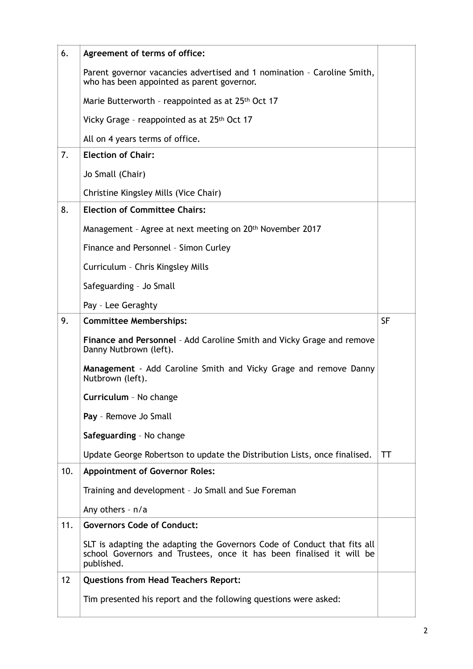| 6.  | Agreement of terms of office:                                                                                                                                  |           |
|-----|----------------------------------------------------------------------------------------------------------------------------------------------------------------|-----------|
|     | Parent governor vacancies advertised and 1 nomination - Caroline Smith,<br>who has been appointed as parent governor.                                          |           |
|     | Marie Butterworth - reappointed as at 25th Oct 17                                                                                                              |           |
|     | Vicky Grage - reappointed as at 25th Oct 17                                                                                                                    |           |
|     | All on 4 years terms of office.                                                                                                                                |           |
| 7.  | <b>Election of Chair:</b>                                                                                                                                      |           |
|     | Jo Small (Chair)                                                                                                                                               |           |
|     | Christine Kingsley Mills (Vice Chair)                                                                                                                          |           |
| 8.  | <b>Election of Committee Chairs:</b>                                                                                                                           |           |
|     | Management - Agree at next meeting on 20th November 2017                                                                                                       |           |
|     | Finance and Personnel - Simon Curley                                                                                                                           |           |
|     | Curriculum - Chris Kingsley Mills                                                                                                                              |           |
|     | Safeguarding - Jo Small                                                                                                                                        |           |
|     | Pay - Lee Geraghty                                                                                                                                             |           |
| 9.  | <b>Committee Memberships:</b>                                                                                                                                  | <b>SF</b> |
|     | Finance and Personnel - Add Caroline Smith and Vicky Grage and remove<br>Danny Nutbrown (left).                                                                |           |
|     | Management - Add Caroline Smith and Vicky Grage and remove Danny<br>Nutbrown (left).                                                                           |           |
|     | Curriculum - No change                                                                                                                                         |           |
|     | Pay - Remove Jo Small                                                                                                                                          |           |
|     | Safeguarding - No change                                                                                                                                       |           |
|     | Update George Robertson to update the Distribution Lists, once finalised.                                                                                      | TT        |
| 10. | <b>Appointment of Governor Roles:</b>                                                                                                                          |           |
|     | Training and development - Jo Small and Sue Foreman                                                                                                            |           |
|     | Any others - n/a                                                                                                                                               |           |
| 11. | <b>Governors Code of Conduct:</b>                                                                                                                              |           |
|     | SLT is adapting the adapting the Governors Code of Conduct that fits all<br>school Governors and Trustees, once it has been finalised it will be<br>published. |           |
| 12  | <b>Questions from Head Teachers Report:</b>                                                                                                                    |           |
|     | Tim presented his report and the following questions were asked:                                                                                               |           |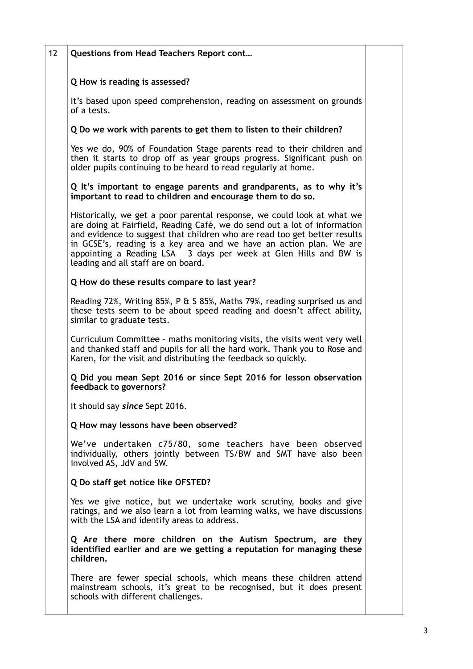| <b>Questions from Head Teachers Report cont</b>                                                                                                                                                                                                                                                                                                                                                                       |
|-----------------------------------------------------------------------------------------------------------------------------------------------------------------------------------------------------------------------------------------------------------------------------------------------------------------------------------------------------------------------------------------------------------------------|
| Q How is reading is assessed?                                                                                                                                                                                                                                                                                                                                                                                         |
| It's based upon speed comprehension, reading on assessment on grounds<br>of a tests.                                                                                                                                                                                                                                                                                                                                  |
| Q Do we work with parents to get them to listen to their children?                                                                                                                                                                                                                                                                                                                                                    |
| Yes we do, 90% of Foundation Stage parents read to their children and<br>then it starts to drop off as year groups progress. Significant push on<br>older pupils continuing to be heard to read regularly at home.                                                                                                                                                                                                    |
| Q It's important to engage parents and grandparents, as to why it's<br>important to read to children and encourage them to do so.                                                                                                                                                                                                                                                                                     |
| Historically, we get a poor parental response, we could look at what we<br>are doing at Fairfield, Reading Café, we do send out a lot of information<br>and evidence to suggest that children who are read too get better results<br>in GCSE's, reading is a key area and we have an action plan. We are<br>appointing a Reading LSA - 3 days per week at Glen Hills and BW is<br>leading and all staff are on board. |
| Q How do these results compare to last year?                                                                                                                                                                                                                                                                                                                                                                          |
| Reading 72%, Writing 85%, P & S 85%, Maths 79%, reading surprised us and<br>these tests seem to be about speed reading and doesn't affect ability,<br>similar to graduate tests.                                                                                                                                                                                                                                      |
| Curriculum Committee - maths monitoring visits, the visits went very well<br>and thanked staff and pupils for all the hard work. Thank you to Rose and<br>Karen, for the visit and distributing the feedback so quickly.                                                                                                                                                                                              |
| Q Did you mean Sept 2016 or since Sept 2016 for lesson observation<br>feedback to governors?                                                                                                                                                                                                                                                                                                                          |
| It should say since Sept 2016.                                                                                                                                                                                                                                                                                                                                                                                        |
| Q How may lessons have been observed?                                                                                                                                                                                                                                                                                                                                                                                 |
| We've undertaken c75/80, some teachers have been observed<br>individually, others jointly between TS/BW and SMT have also been<br>involved AS, JdV and SW.                                                                                                                                                                                                                                                            |
| Q Do staff get notice like OFSTED?                                                                                                                                                                                                                                                                                                                                                                                    |
| Yes we give notice, but we undertake work scrutiny, books and give<br>ratings, and we also learn a lot from learning walks, we have discussions<br>with the LSA and identify areas to address.                                                                                                                                                                                                                        |
| Q Are there more children on the Autism Spectrum, are they<br>identified earlier and are we getting a reputation for managing these<br>children.                                                                                                                                                                                                                                                                      |
| There are fewer special schools, which means these children attend<br>mainstream schools, it's great to be recognised, but it does present<br>schools with different challenges.                                                                                                                                                                                                                                      |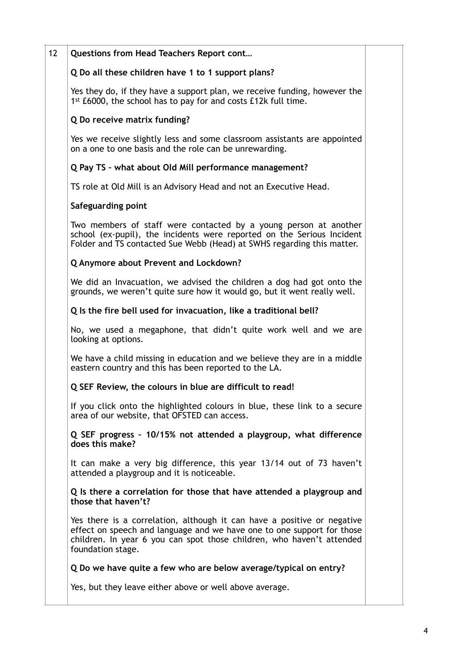| 12 | Questions from Head Teachers Report cont                                                                                                                                                                                                        |
|----|-------------------------------------------------------------------------------------------------------------------------------------------------------------------------------------------------------------------------------------------------|
|    | Q Do all these children have 1 to 1 support plans?                                                                                                                                                                                              |
|    | Yes they do, if they have a support plan, we receive funding, however the<br>1st £6000, the school has to pay for and costs £12k full time.                                                                                                     |
|    | Q Do receive matrix funding?                                                                                                                                                                                                                    |
|    | Yes we receive slightly less and some classroom assistants are appointed<br>on a one to one basis and the role can be unrewarding.                                                                                                              |
|    | Q Pay TS - what about Old Mill performance management?                                                                                                                                                                                          |
|    | TS role at Old Mill is an Advisory Head and not an Executive Head.                                                                                                                                                                              |
|    | Safeguarding point                                                                                                                                                                                                                              |
|    | Two members of staff were contacted by a young person at another<br>school (ex-pupil), the incidents were reported on the Serious Incident<br>Folder and TS contacted Sue Webb (Head) at SWHS regarding this matter.                            |
|    | Q Anymore about Prevent and Lockdown?                                                                                                                                                                                                           |
|    | We did an Invacuation, we advised the children a dog had got onto the<br>grounds, we weren't quite sure how it would go, but it went really well.                                                                                               |
|    | Q Is the fire bell used for invacuation, like a traditional bell?                                                                                                                                                                               |
|    | No, we used a megaphone, that didn't quite work well and we are<br>looking at options.                                                                                                                                                          |
|    | We have a child missing in education and we believe they are in a middle<br>eastern country and this has been reported to the LA.                                                                                                               |
|    | Q SEF Review, the colours in blue are difficult to read!                                                                                                                                                                                        |
|    | If you click onto the highlighted colours in blue, these link to a secure<br>area of our website, that OFSTED can access.                                                                                                                       |
|    | Q SEF progress - 10/15% not attended a playgroup, what difference<br>does this make?                                                                                                                                                            |
|    | It can make a very big difference, this year 13/14 out of 73 haven't<br>attended a playgroup and it is noticeable.                                                                                                                              |
|    | Q Is there a correlation for those that have attended a playgroup and<br>those that haven't?                                                                                                                                                    |
|    | Yes there is a correlation, although it can have a positive or negative<br>effect on speech and language and we have one to one support for those<br>children. In year 6 you can spot those children, who haven't attended<br>foundation stage. |
|    | Q Do we have quite a few who are below average/typical on entry?                                                                                                                                                                                |
|    | Yes, but they leave either above or well above average.                                                                                                                                                                                         |
|    |                                                                                                                                                                                                                                                 |